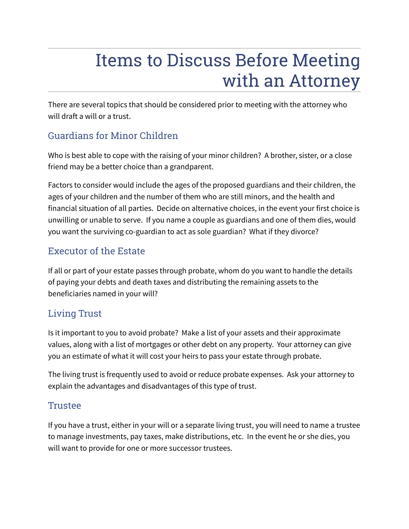# Items to Discuss Before Meeting with an Attorney

There are several topics that should be considered prior to meeting with the attorney who will draft a will or a trust.

# Guardians for Minor Children

Who is best able to cope with the raising of your minor children? A brother, sister, or a close friend may be a better choice than a grandparent.

Factors to consider would include the ages of the proposed guardians and their children, the ages of your children and the number of them who are still minors, and the health and financial situation of all parties. Decide on alternative choices, in the event your first choice is unwilling or unable to serve. If you name a couple as guardians and one of them dies, would you want the surviving co-guardian to act as sole guardian? What if they divorce?

# Executor of the Estate

If all or part of your estate passes through probate, whom do you want to handle the details of paying your debts and death taxes and distributing the remaining assets to the beneficiaries named in your will?

# Living Trust

Is it important to you to avoid probate? Make a list of your assets and their approximate values, along with a list of mortgages or other debt on any property. Your attorney can give you an estimate of what it will cost your heirs to pass your estate through probate.

The living trust is frequently used to avoid or reduce probate expenses. Ask your attorney to explain the advantages and disadvantages of this type of trust.

# **Trustee**

If you have a trust, either in your will or a separate living trust, you will need to name a trustee to manage investments, pay taxes, make distributions, etc. In the event he or she dies, you will want to provide for one or more successor trustees.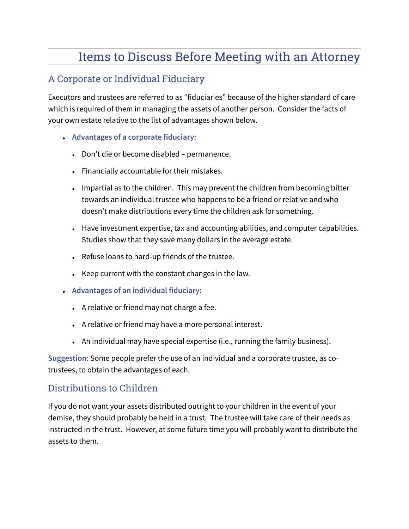# Items to Discuss Before Meeting with an Attorney

# A Corporate or Individual Fiduciary

Executors and trustees are referred to as "fiduciaries" because of the higher standard of care which is required of them in managing the assets of another person. Consider the facts of your own estate relative to the list of advantages shown below.

- **Advantages of a corporate fiduciary:**
	- Don't die or become disabled permanence.
	- Financially accountable for their mistakes.
	- Impartial as to the children. This may prevent the children from becoming bitter towards an individual trustee who happens to be a friend or relative and who doesn't make distributions every time the children ask for something.
	- Have investment expertise, tax and accounting abilities, and computer capabilities. Studies show that they save many dollars in the average estate.
	- Refuse loans to hard-up friends of the trustee.
	- Keep current with the constant changes in the law.
- **Advantages of an individual fiduciary:**
	- A relative or friend may not charge a fee.
	- A relative or friend may have a more personal interest.
	- An individual may have special expertise (i.e., running the family business).

**Suggestion:** Some people prefer the use of an individual and a corporate trustee, as cotrustees, to obtain the advantages of each.

#### Distributions to Children

If you do not want your assets distributed outright to your children in the event of your demise, they should probably be held in a trust. The trustee will take care of their needs as instructed in the trust. However, at some future time you will probably want to distribute the assets to them.